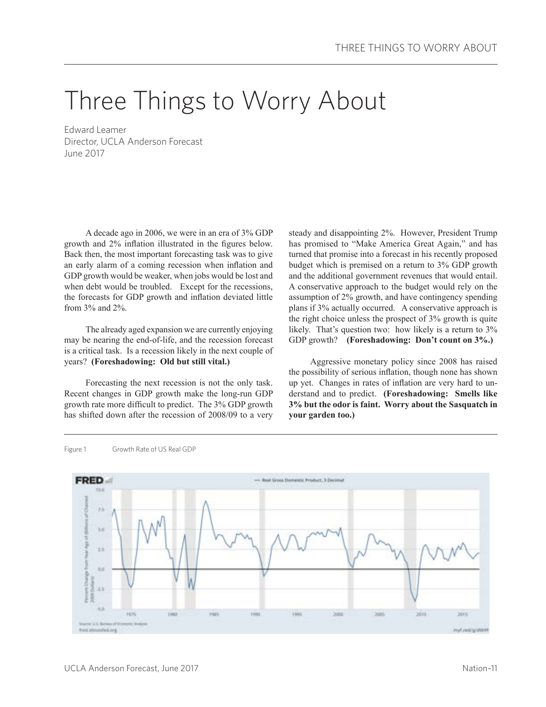# Three Things to Worry About

Edward Leamer Director, UCLA Anderson Forecast June 2017

A decade ago in 2006, we were in an era of 3% GDP growth and 2% inflation illustrated in the figures below. Back then, the most important forecasting task was to give an early alarm of a coming recession when inflation and GDP growth would be weaker, when jobs would be lost and when debt would be troubled. Except for the recessions, the forecasts for GDP growth and inflation deviated little from 3% and 2%.

The already aged expansion we are currently enjoying may be nearing the end-of-life, and the recession forecast is a critical task. Is a recession likely in the next couple of years? **(Foreshadowing: Old but still vital.)**

Forecasting the next recession is not the only task. Recent changes in GDP growth make the long-run GDP growth rate more difficult to predict. The 3% GDP growth has shifted down after the recession of 2008/09 to a very steady and disappointing 2%. However, President Trump has promised to "Make America Great Again," and has turned that promise into a forecast in his recently proposed budget which is premised on a return to 3% GDP growth and the additional government revenues that would entail. A conservative approach to the budget would rely on the assumption of 2% growth, and have contingency spending plans if 3% actually occurred. A conservative approach is the right choice unless the prospect of 3% growth is quite likely. That's question two: how likely is a return to 3% GDP growth? **(Foreshadowing: Don't count on 3%.)**

Aggressive monetary policy since 2008 has raised the possibility of serious inflation, though none has shown up yet. Changes in rates of inflation are very hard to understand and to predict. **(Foreshadowing: Smells like 3% but the odor is faint. Worry about the Sasquatch in your garden too.)**



Figure 1 Growth Rate of US Real GDP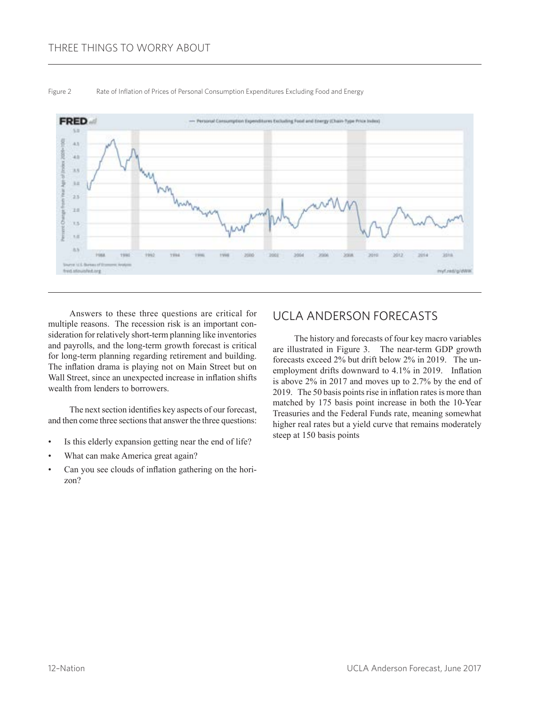## THREE THINGS TO WORRY ABOUT



#### Figure 2 Rate of Inflation of Prices of Personal Consumption Expenditures Excluding Food and Energy

Answers to these three questions are critical for multiple reasons. The recession risk is an important consideration for relatively short-term planning like inventories and payrolls, and the long-term growth forecast is critical for long-term planning regarding retirement and building. The inflation drama is playing not on Main Street but on Wall Street, since an unexpected increase in inflation shifts wealth from lenders to borrowers.

The next section identifies key aspects of our forecast, and then come three sections that answer the three questions:

- Is this elderly expansion getting near the end of life?
- What can make America great again?
- Can you see clouds of inflation gathering on the horizon?

# UCLA ANDERSON FORECASTS

The history and forecasts of four key macro variables are illustrated in Figure 3. The near-term GDP growth forecasts exceed 2% but drift below 2% in 2019. The unemployment drifts downward to 4.1% in 2019. Inflation is above 2% in 2017 and moves up to 2.7% by the end of 2019. The 50 basis points rise in inflation rates is more than matched by 175 basis point increase in both the 10-Year Treasuries and the Federal Funds rate, meaning somewhat higher real rates but a yield curve that remains moderately steep at 150 basis points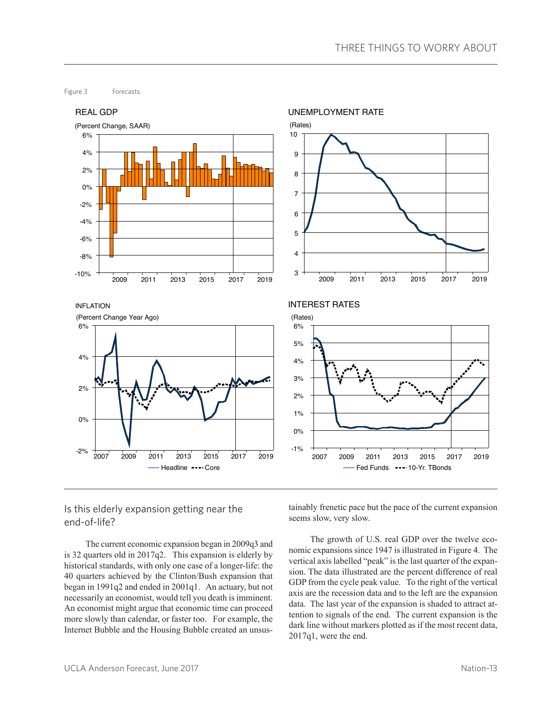Figure 3 Forecasts



## Is this elderly expansion getting near the end-of-life?

The current economic expansion began in 2009q3 and is 32 quarters old in 2017q2. This expansion is elderly by historical standards, with only one case of a longer-life: the 40 quarters achieved by the Clinton/Bush expansion that began in 1991q2 and ended in 2001q1. An actuary, but not necessarily an economist, would tell you death is imminent. An economist might argue that economic time can proceed more slowly than calendar, or faster too. For example, the Internet Bubble and the Housing Bubble created an unsustainably frenetic pace but the pace of the current expansion seems slow, very slow.

The growth of U.S. real GDP over the twelve economic expansions since 1947 is illustrated in Figure 4. The vertical axis labelled "peak" is the last quarter of the expansion. The data illustrated are the percent difference of real GDP from the cycle peak value. To the right of the vertical axis are the recession data and to the left are the expansion data. The last year of the expansion is shaded to attract attention to signals of the end. The current expansion is the dark line without markers plotted as if the most recent data, 2017q1, were the end.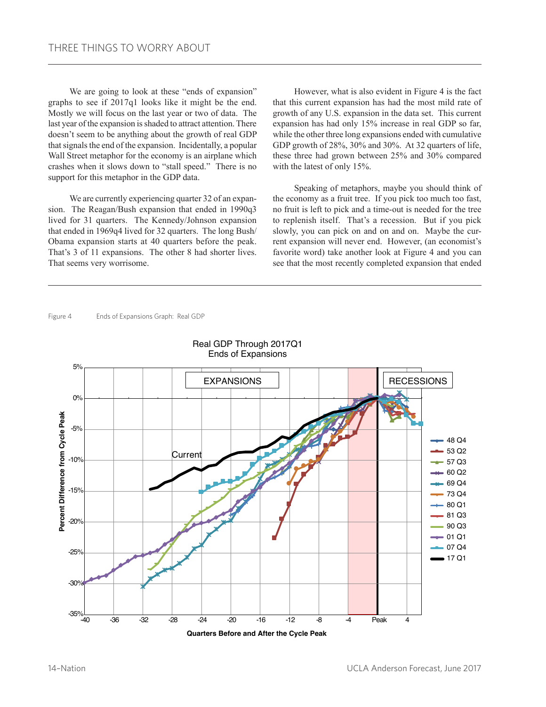We are going to look at these "ends of expansion" graphs to see if 2017q1 looks like it might be the end. Mostly we will focus on the last year or two of data. The last year of the expansion is shaded to attract attention. There doesn't seem to be anything about the growth of real GDP that signals the end of the expansion. Incidentally, a popular Wall Street metaphor for the economy is an airplane which crashes when it slows down to "stall speed." There is no support for this metaphor in the GDP data.

We are currently experiencing quarter 32 of an expansion. The Reagan/Bush expansion that ended in 1990q3 lived for 31 quarters. The Kennedy/Johnson expansion that ended in 1969q4 lived for 32 quarters. The long Bush/ Obama expansion starts at 40 quarters before the peak. That's 3 of 11 expansions. The other 8 had shorter lives. That seems very worrisome.

However, what is also evident in Figure 4 is the fact that this current expansion has had the most mild rate of growth of any U.S. expansion in the data set. This current expansion has had only 15% increase in real GDP so far, while the other three long expansions ended with cumulative GDP growth of 28%, 30% and 30%. At 32 quarters of life, these three had grown between 25% and 30% compared with the latest of only 15%.

Speaking of metaphors, maybe you should think of the economy as a fruit tree. If you pick too much too fast, no fruit is left to pick and a time-out is needed for the tree to replenish itself. That's a recession. But if you pick slowly, you can pick on and on and on. Maybe the current expansion will never end. However, (an economist's favorite word) take another look at Figure 4 and you can see that the most recently completed expansion that ended

Figure 4 Ends of Expansions Graph: Real GDP



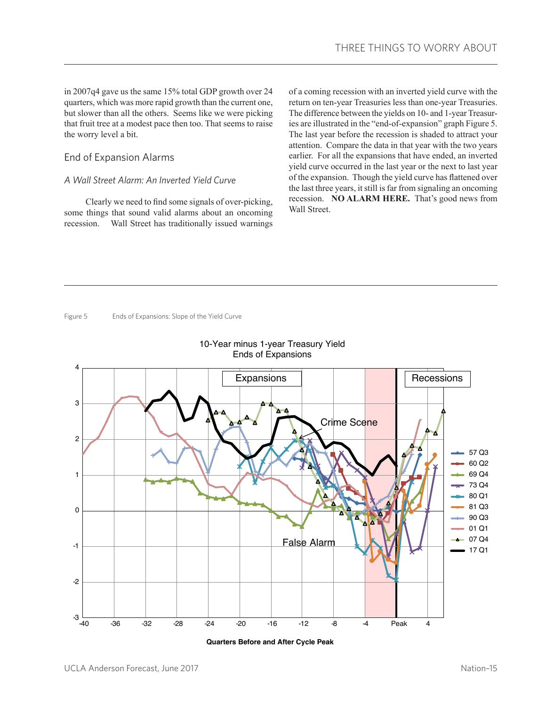in 2007q4 gave us the same 15% total GDP growth over 24 quarters, which was more rapid growth than the current one, but slower than all the others. Seems like we were picking that fruit tree at a modest pace then too. That seems to raise the worry level a bit.

#### End of Expansion Alarms

#### *A Wall Street Alarm: An Inverted Yield Curve*

Clearly we need to find some signals of over-picking, some things that sound valid alarms about an oncoming recession. Wall Street has traditionally issued warnings

of a coming recession with an inverted yield curve with the return on ten-year Treasuries less than one-year Treasuries. The difference between the yields on 10- and 1-year Treasuries are illustrated in the "end-of-expansion" graph Figure 5. The last year before the recession is shaded to attract your attention. Compare the data in that year with the two years earlier. For all the expansions that have ended, an inverted yield curve occurred in the last year or the next to last year of the expansion. Though the yield curve has flattened over the last three years, it still is far from signaling an oncoming recession. **NO ALARM HERE.** That's good news from Wall Street.

Figure 5 Ends of Expansions: Slope of the Yield Curve





**Quarters Before and After Cycle Peak**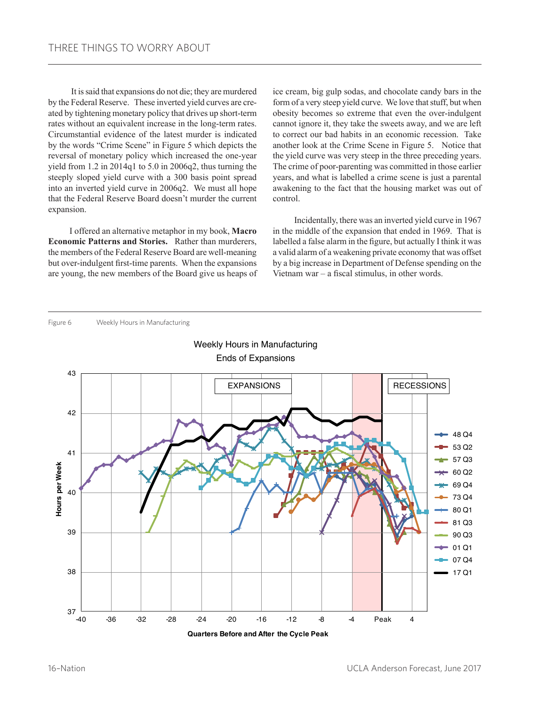It is said that expansions do not die; they are murdered by the Federal Reserve. These inverted yield curves are created by tightening monetary policy that drives up short-term rates without an equivalent increase in the long-term rates. Circumstantial evidence of the latest murder is indicated by the words "Crime Scene" in Figure 5 which depicts the reversal of monetary policy which increased the one-year yield from 1.2 in 2014q1 to 5.0 in 2006q2, thus turning the steeply sloped yield curve with a 300 basis point spread into an inverted yield curve in 2006q2. We must all hope that the Federal Reserve Board doesn't murder the current expansion.

I offered an alternative metaphor in my book, **Macro Economic Patterns and Stories.** Rather than murderers, the members of the Federal Reserve Board are well-meaning but over-indulgent first-time parents. When the expansions are young, the new members of the Board give us heaps of ice cream, big gulp sodas, and chocolate candy bars in the form of a very steep yield curve. We love that stuff, but when obesity becomes so extreme that even the over-indulgent cannot ignore it, they take the sweets away, and we are left to correct our bad habits in an economic recession. Take another look at the Crime Scene in Figure 5. Notice that the yield curve was very steep in the three preceding years. The crime of poor-parenting was committed in those earlier years, and what is labelled a crime scene is just a parental awakening to the fact that the housing market was out of control.

Incidentally, there was an inverted yield curve in 1967 in the middle of the expansion that ended in 1969. That is labelled a false alarm in the figure, but actually I think it was a valid alarm of a weakening private economy that was offset by a big increase in Department of Defense spending on the Vietnam war – a fiscal stimulus, in other words.





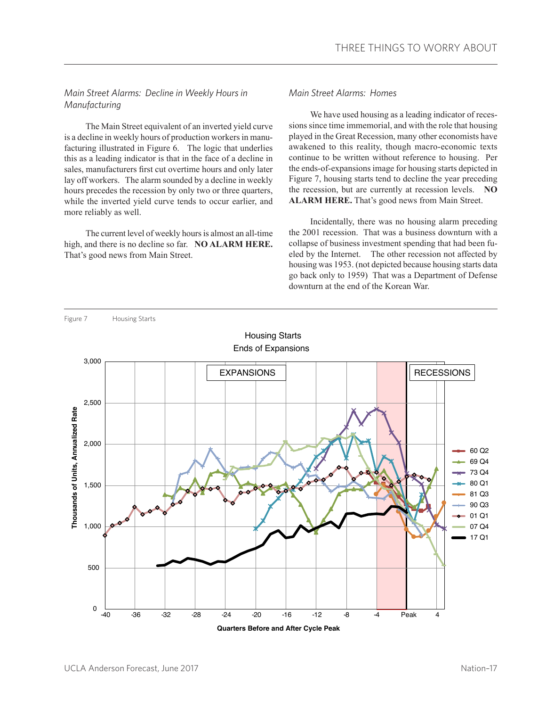#### *Main Street Alarms: Decline in Weekly Hours in Manufacturing*

The Main Street equivalent of an inverted yield curve is a decline in weekly hours of production workers in manufacturing illustrated in Figure 6. The logic that underlies this as a leading indicator is that in the face of a decline in sales, manufacturers first cut overtime hours and only later lay off workers. The alarm sounded by a decline in weekly hours precedes the recession by only two or three quarters, while the inverted yield curve tends to occur earlier, and more reliably as well.

The current level of weekly hours is almost an all-time high, and there is no decline so far. **NO ALARM HERE.**  That's good news from Main Street.

#### *Main Street Alarms: Homes*

We have used housing as a leading indicator of recessions since time immemorial, and with the role that housing played in the Great Recession, many other economists have awakened to this reality, though macro-economic texts continue to be written without reference to housing. Per the ends-of-expansions image for housing starts depicted in Figure 7, housing starts tend to decline the year preceding the recession, but are currently at recession levels. **NO ALARM HERE.** That's good news from Main Street.

Incidentally, there was no housing alarm preceding the 2001 recession. That was a business downturn with a collapse of business investment spending that had been fueled by the Internet. The other recession not affected by housing was 1953. (not depicted because housing starts data go back only to 1959) That was a Department of Defense downturn at the end of the Korean War.

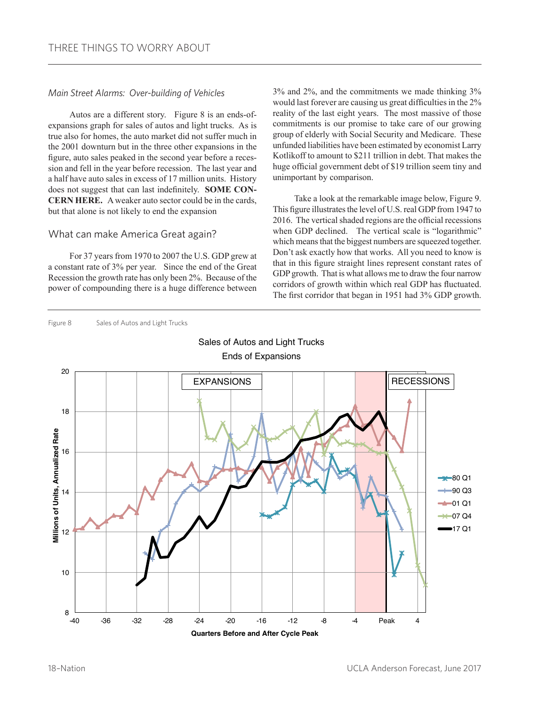#### *Main Street Alarms: Over-building of Vehicles*

Autos are a different story. Figure 8 is an ends-ofexpansions graph for sales of autos and light trucks. As is true also for homes, the auto market did not suffer much in the 2001 downturn but in the three other expansions in the figure, auto sales peaked in the second year before a recession and fell in the year before recession. The last year and a half have auto sales in excess of 17 million units. History does not suggest that can last indefinitely. **SOME CON-CERN HERE.** A weaker auto sector could be in the cards, but that alone is not likely to end the expansion

#### What can make America Great again?

For 37 years from 1970 to 2007 the U.S. GDP grew at a constant rate of 3% per year. Since the end of the Great Recession the growth rate has only been 2%. Because of the power of compounding there is a huge difference between

3% and 2%, and the commitments we made thinking 3% would last forever are causing us great difficulties in the 2% reality of the last eight years. The most massive of those commitments is our promise to take care of our growing group of elderly with Social Security and Medicare. These unfunded liabilities have been estimated by economist Larry Kotlikoff to amount to \$211 trillion in debt. That makes the huge official government debt of \$19 trillion seem tiny and unimportant by comparison.

Take a look at the remarkable image below, Figure 9. This figure illustrates the level of U.S. real GDP from 1947 to 2016. The vertical shaded regions are the official recessions when GDP declined. The vertical scale is "logarithmic" which means that the biggest numbers are squeezed together. Don't ask exactly how that works. All you need to know is that in this figure straight lines represent constant rates of GDP growth. That is what allows me to draw the four narrow corridors of growth within which real GDP has fluctuated. The first corridor that began in 1951 had 3% GDP growth.

Figure 8 Sales of Autos and Light Trucks



Sales of Autos and Light Trucks Ends of Expansions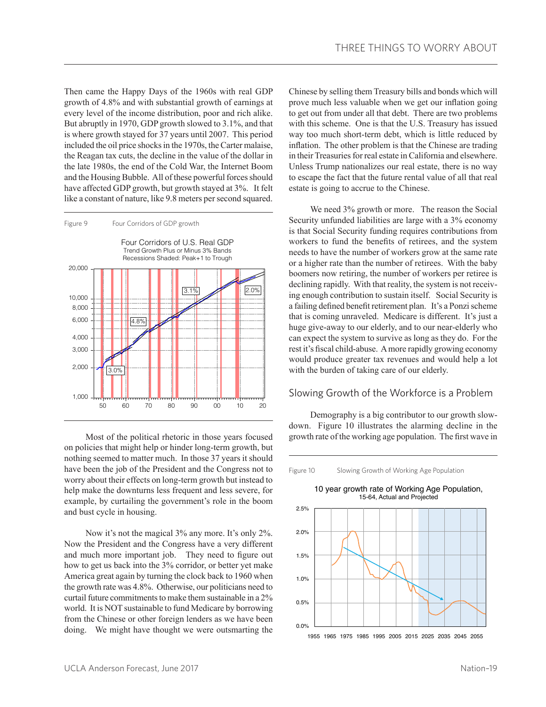Then came the Happy Days of the 1960s with real GDP growth of 4.8% and with substantial growth of earnings at every level of the income distribution, poor and rich alike. But abruptly in 1970, GDP growth slowed to 3.1%, and that is where growth stayed for 37 years until 2007. This period included the oil price shocks in the 1970s, the Carter malaise, the Reagan tax cuts, the decline in the value of the dollar in the late 1980s, the end of the Cold War, the Internet Boom and the Housing Bubble. All of these powerful forces should have affected GDP growth, but growth stayed at 3%. It felt like a constant of nature, like 9.8 meters per second squared.



Most of the political rhetoric in those years focused on policies that might help or hinder long-term growth, but nothing seemed to matter much. In those 37 years it should have been the job of the President and the Congress not to worry about their effects on long-term growth but instead to help make the downturns less frequent and less severe, for example, by curtailing the government's role in the boom and bust cycle in housing.

Now it's not the magical 3% any more. It's only 2%. Now the President and the Congress have a very different and much more important job. They need to figure out how to get us back into the 3% corridor, or better yet make America great again by turning the clock back to 1960 when the growth rate was 4.8%. Otherwise, our politicians need to curtail future commitments to make them sustainable in a 2% world. It is NOT sustainable to fund Medicare by borrowing from the Chinese or other foreign lenders as we have been doing. We might have thought we were outsmarting the Chinese by selling them Treasury bills and bonds which will prove much less valuable when we get our inflation going to get out from under all that debt. There are two problems with this scheme. One is that the U.S. Treasury has issued way too much short-term debt, which is little reduced by inflation. The other problem is that the Chinese are trading in their Treasuries for real estate in California and elsewhere. Unless Trump nationalizes our real estate, there is no way to escape the fact that the future rental value of all that real estate is going to accrue to the Chinese.

We need 3% growth or more. The reason the Social Security unfunded liabilities are large with a 3% economy is that Social Security funding requires contributions from workers to fund the benefits of retirees, and the system needs to have the number of workers grow at the same rate or a higher rate than the number of retirees. With the baby boomers now retiring, the number of workers per retiree is declining rapidly. With that reality, the system is not receiving enough contribution to sustain itself. Social Security is a failing defined benefit retirement plan. It's a Ponzi scheme that is coming unraveled. Medicare is different. It's just a huge give-away to our elderly, and to our near-elderly who can expect the system to survive as long as they do. For the rest it's fiscal child-abuse. A more rapidly growing economy would produce greater tax revenues and would help a lot with the burden of taking care of our elderly.

#### Slowing Growth of the Workforce is a Problem

Demography is a big contributor to our growth slowdown. Figure 10 illustrates the alarming decline in the growth rate of the working age population. The first wave in

Figure 10 Slowing Growth of Working Age Population

2.5% 2.0% 1.5% 1.0% 0.5% 0.0% 10 year growth rate of Working Age Population, 15-64, Actual and Projected 1955 1965 1975 1985 1995 2005 2015 2025 2035 2045 2055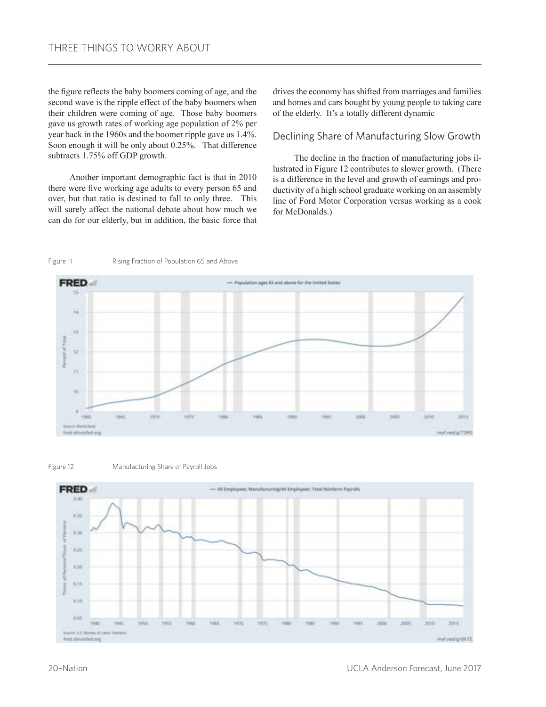the figure reflects the baby boomers coming of age, and the second wave is the ripple effect of the baby boomers when their children were coming of age. Those baby boomers gave us growth rates of working age population of 2% per year back in the 1960s and the boomer ripple gave us 1.4%. Soon enough it will be only about 0.25%. That difference subtracts 1.75% off GDP growth.

Another important demographic fact is that in 2010 there were five working age adults to every person 65 and over, but that ratio is destined to fall to only three. This will surely affect the national debate about how much we can do for our elderly, but in addition, the basic force that drives the economy has shifted from marriages and families and homes and cars bought by young people to taking care of the elderly. It's a totally different dynamic

#### Declining Share of Manufacturing Slow Growth

The decline in the fraction of manufacturing jobs illustrated in Figure 12 contributes to slower growth. (There is a difference in the level and growth of earnings and productivity of a high school graduate working on an assembly line of Ford Motor Corporation versus working as a cook for McDonalds.)

Figure 11 Rising Fraction of Population 65 and Above





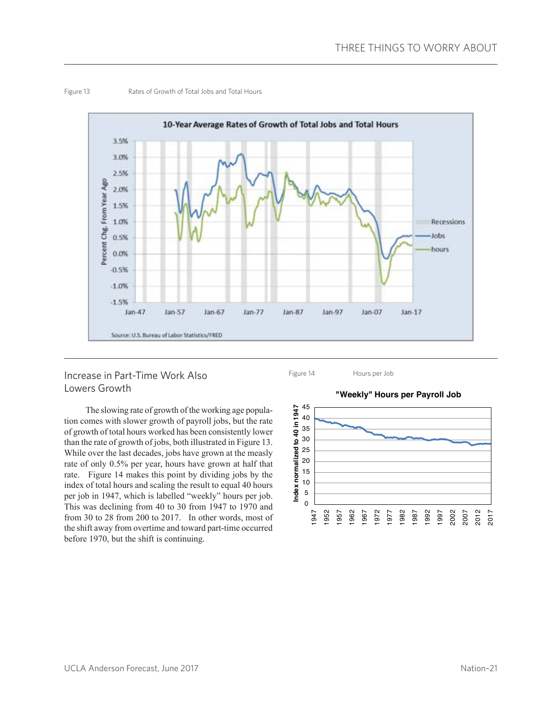

#### Figure 13 Rates of Growth of Total Jobs and Total Hours

#### Increase in Part-Time Work Also Lowers Growth

The slowing rate of growth of the working age population comes with slower growth of payroll jobs, but the rate of growth of total hours worked has been consistently lower than the rate of growth of jobs, both illustrated in Figure 13. While over the last decades, jobs have grown at the measly rate of only 0.5% per year, hours have grown at half that rate. Figure 14 makes this point by dividing jobs by the index of total hours and scaling the result to equal 40 hours per job in 1947, which is labelled "weekly" hours per job. This was declining from 40 to 30 from 1947 to 1970 and from 30 to 28 from 200 to 2017. In other words, most of the shift away from overtime and toward part-time occurred before 1970, but the shift is continuing.

Figure 14 Hours per Job



**"Weekly" Hours per Payroll Job**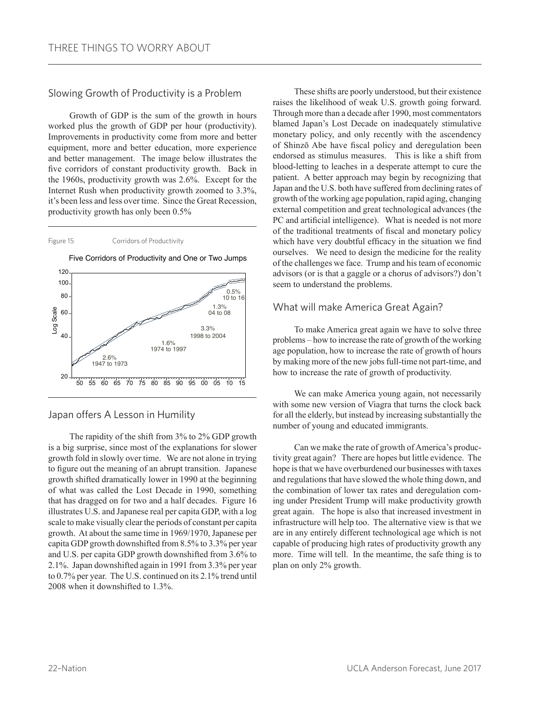#### Slowing Growth of Productivity is a Problem

Growth of GDP is the sum of the growth in hours worked plus the growth of GDP per hour (productivity). Improvements in productivity come from more and better equipment, more and better education, more experience and better management. The image below illustrates the five corridors of constant productivity growth. Back in the 1960s, productivity growth was 2.6%. Except for the Internet Rush when productivity growth zoomed to 3.3%, it's been less and less over time. Since the Great Recession, productivity growth has only been 0.5%





Five Corridors of Productivity and One or Two Jumps

#### Japan offers A Lesson in Humility

The rapidity of the shift from 3% to 2% GDP growth is a big surprise, since most of the explanations for slower growth fold in slowly over time. We are not alone in trying to figure out the meaning of an abrupt transition. Japanese growth shifted dramatically lower in 1990 at the beginning of what was called the Lost Decade in 1990, something that has dragged on for two and a half decades. Figure 16 illustrates U.S. and Japanese real per capita GDP, with a log scale to make visually clear the periods of constant per capita growth. At about the same time in 1969/1970, Japanese per capita GDP growth downshifted from 8.5% to 3.3% per year and U.S. per capita GDP growth downshifted from 3.6% to 2.1%. Japan downshifted again in 1991 from 3.3% per year to 0.7% per year. The U.S. continued on its 2.1% trend until 2008 when it downshifted to 1.3%.

These shifts are poorly understood, but their existence raises the likelihood of weak U.S. growth going forward. Through more than a decade after 1990, most commentators blamed Japan's Lost Decade on inadequately stimulative monetary policy, and only recently with the ascendency of Shinzō Abe have fiscal policy and deregulation been endorsed as stimulus measures. This is like a shift from blood-letting to leaches in a desperate attempt to cure the patient. A better approach may begin by recognizing that Japan and the U.S. both have suffered from declining rates of growth of the working age population, rapid aging, changing external competition and great technological advances (the PC and artificial intelligence). What is needed is not more of the traditional treatments of fiscal and monetary policy which have very doubtful efficacy in the situation we find ourselves. We need to design the medicine for the reality of the challenges we face. Trump and his team of economic advisors (or is that a gaggle or a chorus of advisors?) don't seem to understand the problems.

#### What will make America Great Again?

To make America great again we have to solve three problems – how to increase the rate of growth of the working age population, how to increase the rate of growth of hours by making more of the new jobs full-time not part-time, and how to increase the rate of growth of productivity.

We can make America young again, not necessarily with some new version of Viagra that turns the clock back for all the elderly, but instead by increasing substantially the number of young and educated immigrants.

Can we make the rate of growth of America's productivity great again? There are hopes but little evidence. The hope is that we have overburdened our businesses with taxes and regulations that have slowed the whole thing down, and the combination of lower tax rates and deregulation coming under President Trump will make productivity growth great again. The hope is also that increased investment in infrastructure will help too. The alternative view is that we are in any entirely different technological age which is not capable of producing high rates of productivity growth any more. Time will tell. In the meantime, the safe thing is to plan on only 2% growth.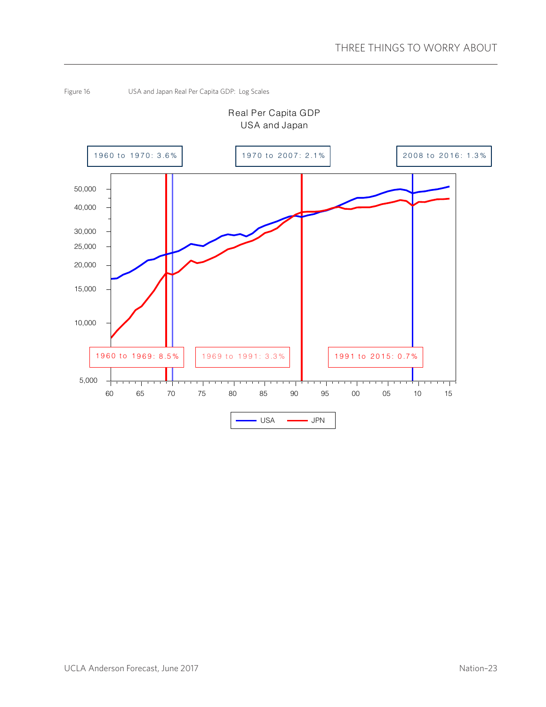

Figure 16 USA and Japan Real Per Capita GDP: Log Scales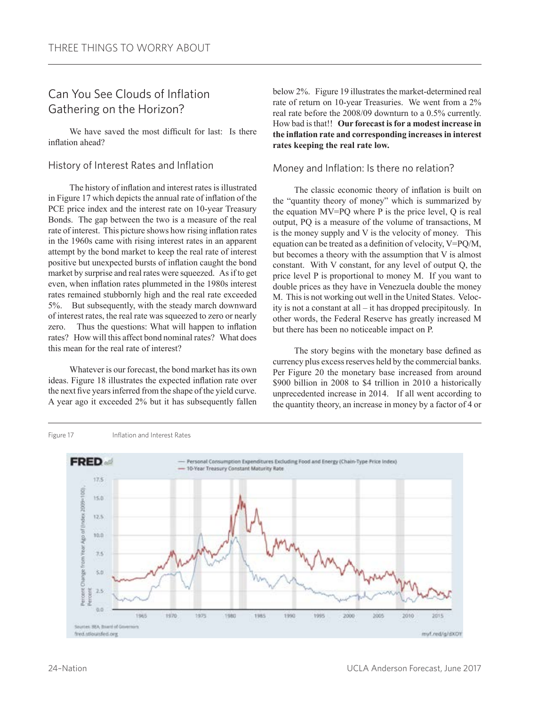## Can You See Clouds of Inflation Gathering on the Horizon?

We have saved the most difficult for last: Is there inflation ahead?

#### History of Interest Rates and Inflation

The history of inflation and interest rates is illustrated in Figure 17 which depicts the annual rate of inflation of the PCE price index and the interest rate on 10-year Treasury Bonds. The gap between the two is a measure of the real rate of interest. This picture shows how rising inflation rates in the 1960s came with rising interest rates in an apparent attempt by the bond market to keep the real rate of interest positive but unexpected bursts of inflation caught the bond market by surprise and real rates were squeezed. As if to get even, when inflation rates plummeted in the 1980s interest rates remained stubbornly high and the real rate exceeded 5%. But subsequently, with the steady march downward of interest rates, the real rate was squeezed to zero or nearly zero. Thus the questions: What will happen to inflation rates? How will this affect bond nominal rates? What does this mean for the real rate of interest?

Whatever is our forecast, the bond market has its own ideas. Figure 18 illustrates the expected inflation rate over the next five years inferred from the shape of the yield curve. A year ago it exceeded 2% but it has subsequently fallen

below 2%. Figure 19 illustrates the market-determined real rate of return on 10-year Treasuries. We went from a 2% real rate before the 2008/09 downturn to a 0.5% currently. How bad is that!! **Our forecast is for a modest increase in the inflation rate and corresponding increases in interest rates keeping the real rate low.**

#### Money and Inflation: Is there no relation?

The classic economic theory of inflation is built on the "quantity theory of money" which is summarized by the equation MV=PQ where P is the price level, Q is real output, PQ is a measure of the volume of transactions, M is the money supply and V is the velocity of money. This equation can be treated as a definition of velocity, V=PQ/M, but becomes a theory with the assumption that V is almost constant. With V constant, for any level of output Q, the price level P is proportional to money M. If you want to double prices as they have in Venezuela double the money M. This is not working out well in the United States. Velocity is not a constant at all – it has dropped precipitously. In other words, the Federal Reserve has greatly increased M but there has been no noticeable impact on P.

The story begins with the monetary base defined as currency plus excess reserves held by the commercial banks. Per Figure 20 the monetary base increased from around \$900 billion in 2008 to \$4 trillion in 2010 a historically unprecedented increase in 2014. If all went according to the quantity theory, an increase in money by a factor of 4 or

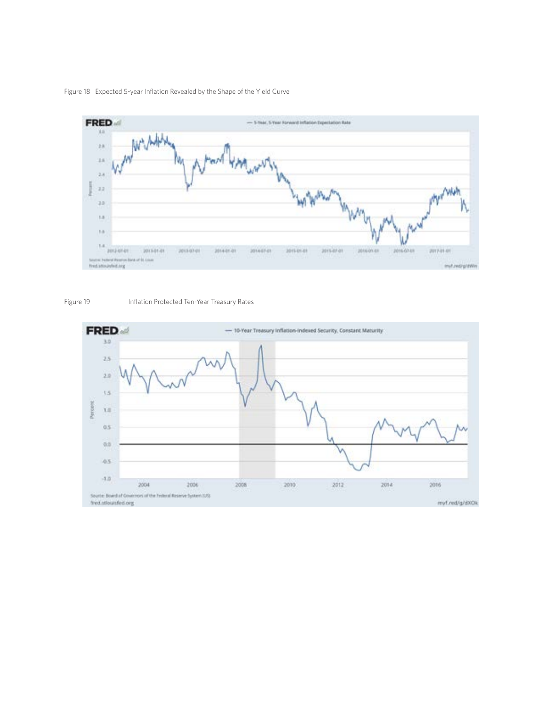





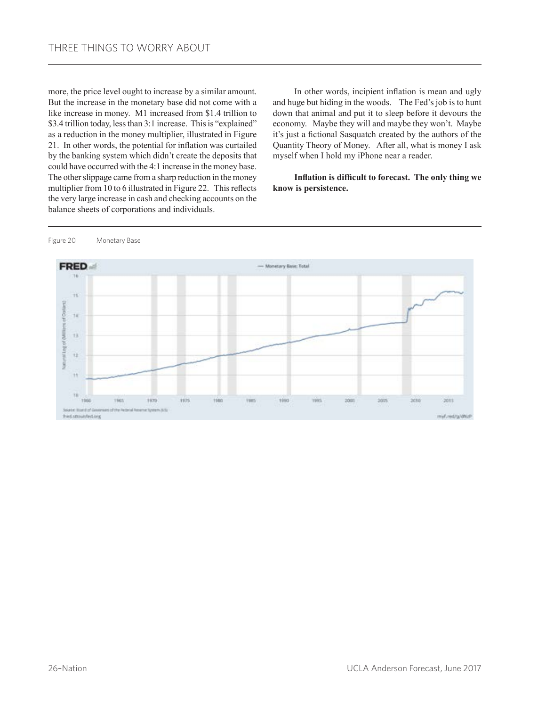more, the price level ought to increase by a similar amount. But the increase in the monetary base did not come with a like increase in money. M1 increased from \$1.4 trillion to \$3.4 trillion today, less than 3:1 increase. This is "explained" as a reduction in the money multiplier, illustrated in Figure 21. In other words, the potential for inflation was curtailed by the banking system which didn't create the deposits that could have occurred with the 4:1 increase in the money base. The other slippage came from a sharp reduction in the money multiplier from 10 to 6 illustrated in Figure 22. This reflects the very large increase in cash and checking accounts on the balance sheets of corporations and individuals.

In other words, incipient inflation is mean and ugly and huge but hiding in the woods. The Fed's job is to hunt down that animal and put it to sleep before it devours the economy. Maybe they will and maybe they won't. Maybe it's just a fictional Sasquatch created by the authors of the Quantity Theory of Money. After all, what is money I ask myself when I hold my iPhone near a reader.

**Inflation is difficult to forecast. The only thing we know is persistence.**



Figure 20 Monetary Base